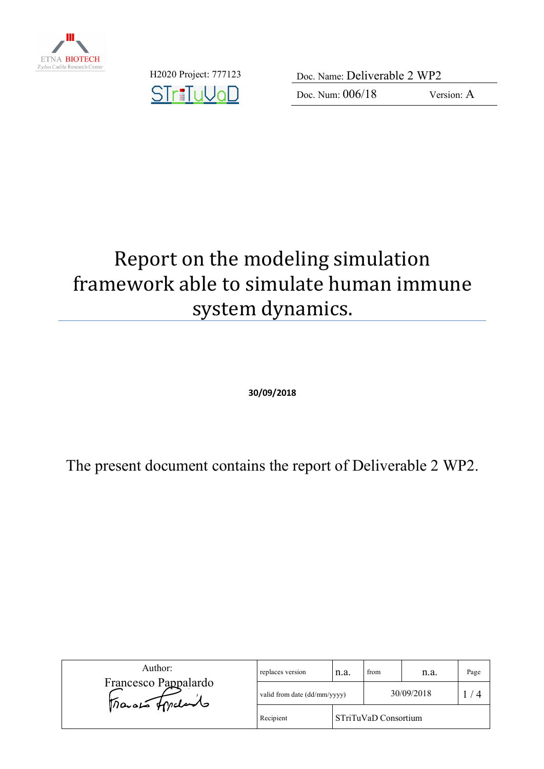

**STriTuVoD** 

H2020 Project: 777123 Doc. Name: Deliverable 2 WP2

Doc. Num:  $006/18$  Version: A

## Report on the modeling simulation framework able to simulate human immune system dynamics.

**30/09/2018**

The present document contains the report of Deliverable 2 WP2.

| Author:<br>Francesco Pappalardo<br>Marcia Appelants | replaces version             | n.a                  | from       | n.a. | Page |
|-----------------------------------------------------|------------------------------|----------------------|------------|------|------|
|                                                     | valid from date (dd/mm/yyyy) |                      | 30/09/2018 |      |      |
|                                                     | Recipient                    | STriTuVaD Consortium |            |      |      |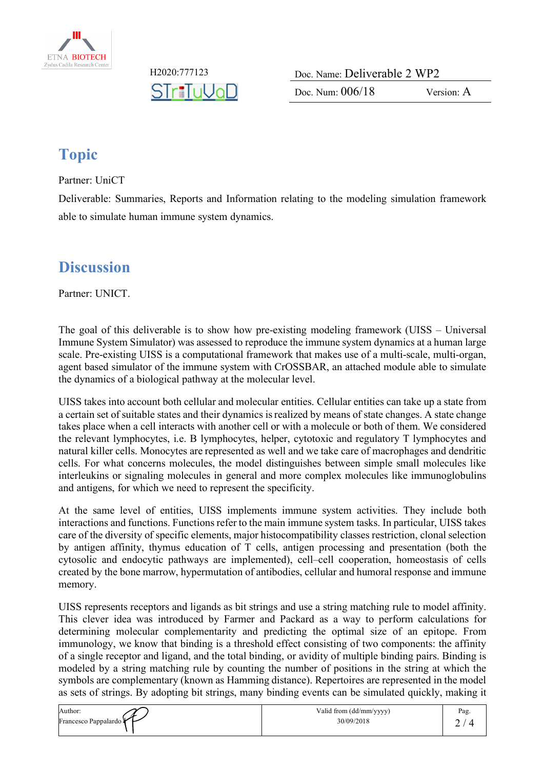

STriTuVoD

H2020:777123 Doc. Name: Deliverable 2 WP2

Doc. Num:  $006/18$  Version: A

## **Topic**

Partner: UniCT

Deliverable: Summaries, Reports and Information relating to the modeling simulation framework able to simulate human immune system dynamics.

## **Discussion**

Partner: UNICT.

The goal of this deliverable is to show how pre-existing modeling framework (UISS – Universal Immune System Simulator) was assessed to reproduce the immune system dynamics at a human large scale. Pre-existing UISS is a computational framework that makes use of a multi-scale, multi-organ, agent based simulator of the immune system with CrOSSBAR, an attached module able to simulate the dynamics of a biological pathway at the molecular level.

UISS takes into account both cellular and molecular entities. Cellular entities can take up a state from a certain set of suitable states and their dynamics is realized by means of state changes. A state change takes place when a cell interacts with another cell or with a molecule or both of them. We considered the relevant lymphocytes, i.e. B lymphocytes, helper, cytotoxic and regulatory T lymphocytes and natural killer cells. Monocytes are represented as well and we take care of macrophages and dendritic cells. For what concerns molecules, the model distinguishes between simple small molecules like interleukins or signaling molecules in general and more complex molecules like immunoglobulins and antigens, for which we need to represent the specificity.

At the same level of entities, UISS implements immune system activities. They include both interactions and functions. Functions refer to the main immune system tasks. In particular, UISS takes care of the diversity of specific elements, major histocompatibility classes restriction, clonal selection by antigen affinity, thymus education of T cells, antigen processing and presentation (both the cytosolic and endocytic pathways are implemented), cell–cell cooperation, homeostasis of cells created by the bone marrow, hypermutation of antibodies, cellular and humoral response and immune memory.

UISS represents receptors and ligands as bit strings and use a string matching rule to model affinity. This clever idea was introduced by Farmer and Packard as a way to perform calculations for determining molecular complementarity and predicting the optimal size of an epitope. From immunology, we know that binding is a threshold effect consisting of two components: the affinity of a single receptor and ligand, and the total binding, or avidity of multiple binding pairs. Binding is modeled by a string matching rule by counting the number of positions in the string at which the symbols are complementary (known as Hamming distance). Repertoires are represented in the model as sets of strings. By adopting bit strings, many binding events can be simulated quickly, making it

| Author:<br>$\sqrt{2}$ | Valid from (dd/mm/yyyy) | Pag |
|-----------------------|-------------------------|-----|
| Francesco Pappalardo  | 30/09/2018              |     |
|                       |                         |     |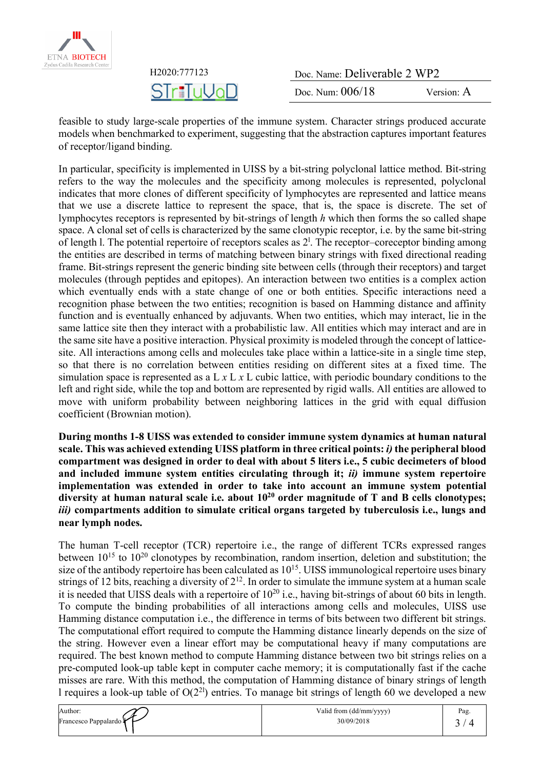

| H2020:777123 | Doc. Name: Deliverable 2 WP2 |            |  |
|--------------|------------------------------|------------|--|
| STr∎TuVoD    | Doc. Num: $006/18$           | Version: A |  |

feasible to study large-scale properties of the immune system. Character strings produced accurate models when benchmarked to experiment, suggesting that the abstraction captures important features of receptor/ligand binding.

In particular, specificity is implemented in UISS by a bit-string polyclonal lattice method. Bit-string refers to the way the molecules and the specificity among molecules is represented, polyclonal indicates that more clones of different specificity of lymphocytes are represented and lattice means that we use a discrete lattice to represent the space, that is, the space is discrete. The set of lymphocytes receptors is represented by bit-strings of length *h* which then forms the so called shape space. A clonal set of cells is characterized by the same clonotypic receptor, i.e. by the same bit-string of length l. The potential repertoire of receptors scales as  $2<sup>1</sup>$ . The receptor–coreceptor binding among the entities are described in terms of matching between binary strings with fixed directional reading frame. Bit-strings represent the generic binding site between cells (through their receptors) and target molecules (through peptides and epitopes). An interaction between two entities is a complex action which eventually ends with a state change of one or both entities. Specific interactions need a recognition phase between the two entities; recognition is based on Hamming distance and affinity function and is eventually enhanced by adjuvants. When two entities, which may interact, lie in the same lattice site then they interact with a probabilistic law. All entities which may interact and are in the same site have a positive interaction. Physical proximity is modeled through the concept of latticesite. All interactions among cells and molecules take place within a lattice-site in a single time step, so that there is no correlation between entities residing on different sites at a fixed time. The simulation space is represented as a L *x* L *x* L cubic lattice, with periodic boundary conditions to the left and right side, while the top and bottom are represented by rigid walls. All entities are allowed to move with uniform probability between neighboring lattices in the grid with equal diffusion coefficient (Brownian motion).

**During months 1-8 UISS was extended to consider immune system dynamics at human natural scale. This was achieved extending UISS platform in three critical points:** *i)* **the peripheral blood compartment was designed in order to deal with about 5 liters i.e., 5 cubic decimeters of blood and included immune system entities circulating through it;** *ii)* **immune system repertoire implementation was extended in order to take into account an immune system potential diversity at human natural scale i.e. about 1020 order magnitude of T and B cells clonotypes;**  *iii)* **compartments addition to simulate critical organs targeted by tuberculosis i.e., lungs and near lymph nodes.** 

The human T-cell receptor (TCR) repertoire i.e., the range of different TCRs expressed ranges between  $10^{15}$  to  $10^{20}$  clonotypes by recombination, random insertion, deletion and substitution; the size of the antibody repertoire has been calculated as  $10^{15}$ . UISS immunological repertoire uses binary strings of 12 bits, reaching a diversity of  $2^{12}$ . In order to simulate the immune system at a human scale it is needed that UISS deals with a repertoire of  $10^{20}$  i.e., having bit-strings of about 60 bits in length. To compute the binding probabilities of all interactions among cells and molecules, UISS use Hamming distance computation i.e., the difference in terms of bits between two different bit strings. The computational effort required to compute the Hamming distance linearly depends on the size of the string. However even a linear effort may be computational heavy if many computations are required. The best known method to compute Hamming distance between two bit strings relies on a pre-computed look-up table kept in computer cache memory; it is computationally fast if the cache misses are rare. With this method, the computation of Hamming distance of binary strings of length l requires a look-up table of  $O(2^{2l})$  entries. To manage bit strings of length 60 we developed a new

| Author:<br>$\mathcal{L}$ | Valid from (dd/mm/yyyy) | Pag. |
|--------------------------|-------------------------|------|
| Francesco Pappalardo     | 30/09/2018              |      |